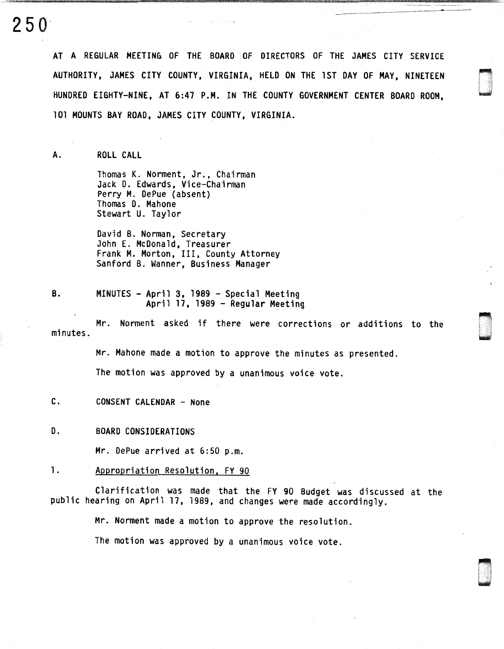# $2.50<sup>o</sup>$  and  $2.50<sup>o</sup>$

AT A REGULAR MEETING OF THE BOARD OF DIRECTORS OF THE JAMES CITY SERVICE AUTHORITY, JAMES CITY COUNTY, VIRGINIA, HELD ON THE IST DAY OF MAY, NINETEEN HUNDRED EIGHTY-NINE, AT 6:47 P.H. IN THE COUNTY GOVERNMENT CENTER BOARD ROOM, 101 MOUNTS BAY ROAD, JAMES CITY COUNTY, VIRGINIA.

A. ROLL CALL

Thomas K. Norment, Jr., Chairman Jack D. Edwards, Vice-Chairman Perry M. OePue (absent) Thomas 0. Mahone Stewart U. Taylor

David B. Norman, Secretary John E. McDonald, Treasurer Frank M. Morton, III, County Attorney Sanford B. Wanner, Business Manager

# B. MINUTES - April 3, 1989 - Special Meeting April 17, 1989 - Regular Meeting

Mr. Norment asked if there were corrections or additions to the minutes.

Mr. Mahone made a motion to approve the minutes as presented.

The motion was approved by a unanimous voice vote.

C. CONSENT CALENDAR - None

D. BOARD CONSIDERATIONS

Mr. DePue arrived at 6:50 p.m.

1. Appropriation Resolution, FY 90

Clarification was made that the FY 90 Budget was discussed at the public hearing on April 17, 1989, and changes were made accordingly.

Mr. Norment made a motion to approve the resolution.

The motion was approved by a unanimous voice vote.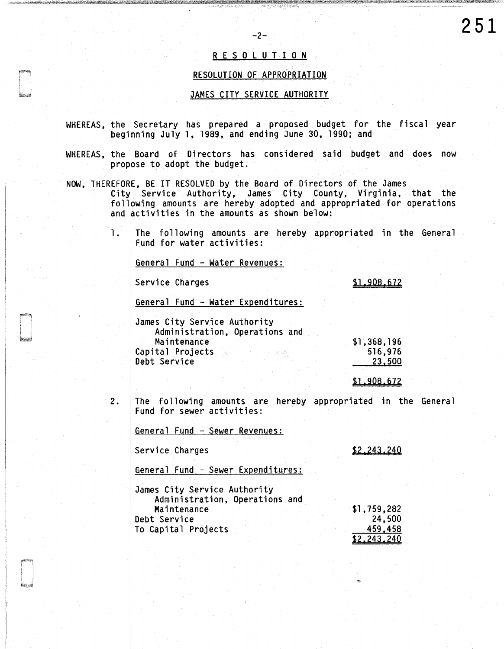# R E S 0 L U T I 0 N

-2-

#### RESOLUTION OF APPROPRIATION

# JAMES CITY SERVICE AUTHORITY

WHEREAS, the Secretary has prepared a proposed budget for the fiscal year beginning July 1, 1989, and ending June 30, 1990; and

WHEREAS, the Board of Directors has considered said budget and does now propose to adopt the budget.

NOW, THEREFORE, BE IT RESOLVED by the Board of Directors of the James

City Service Authority, James City County, Virginia, that the fol lowing amounts are hereby adopted and appropriated for operations and activities in the amounts as shown below:

1. The following amounts are hereby appropriated in the General Fund for water activities:

General Fund - Water Revenues:

Service Charges

#### \$] .908.672

General Fund - Water Expenditures:

| James City Service Authority<br>Administration, Operations and |             |
|----------------------------------------------------------------|-------------|
| Maintenance                                                    | \$1,368,196 |
| Capital Projects<br>in a grand of the state of the             | 516,976     |
| Debt Service                                                   | 23,500      |
|                                                                |             |

\$1.908,672

2. The following amounts are hereby appropriated in the General : Fund for sewer activities:

General Fund - Sewer Revenues:

Service Charges

\$2,243.240

24,500 459,458

General Fund - Sewer Expenditures:

James City Service Authority Administration, Operations and Maintenance Debt Service To Capital Projects \$1,759,282 \$2.243.240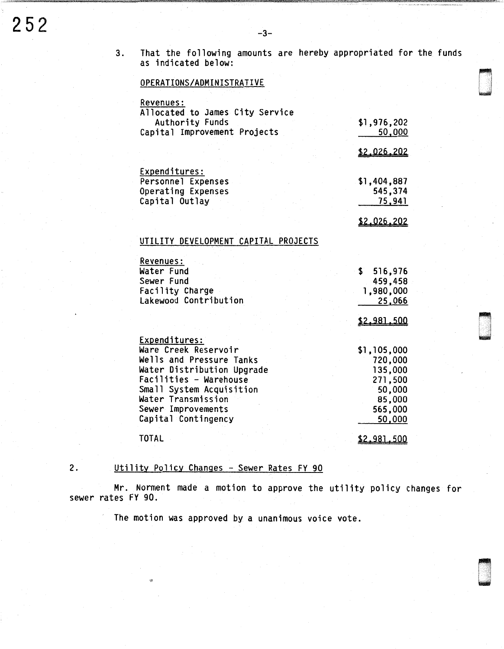3. That the following amounts are hereby appropriated for the funds as indicated below:

# OPERATIONS/ADMINISTRATIVE

| Revenues:<br>Allocated to James City Service<br>Authority Funds<br>Capital Improvement Projects                                                                                                                          | \$1,976,202<br>50,000                                                                 |
|--------------------------------------------------------------------------------------------------------------------------------------------------------------------------------------------------------------------------|---------------------------------------------------------------------------------------|
|                                                                                                                                                                                                                          | \$2,026,202                                                                           |
| Expenditures:<br>Personnel Expenses<br>Operating Expenses<br>Capital Outlay                                                                                                                                              | \$1,404,887<br>545,374<br>75,941<br>\$2,026,202                                       |
| UTILITY DEVELOPMENT CAPITAL PROJECTS                                                                                                                                                                                     |                                                                                       |
| Revenues:<br>Water Fund<br>Sewer Fund<br>Facility Charge<br>Lakewood Contribution                                                                                                                                        | 516,976<br>\$<br>459,458<br>1,980,000<br>25,066                                       |
|                                                                                                                                                                                                                          | \$2,981,500                                                                           |
| Expenditures:<br>Ware Creek Reservoir<br>Wells and Pressure Tanks<br>Water Distribution Upgrade<br>Facilities - Warehouse<br>Small System Acquisition<br>Water Transmission<br>Sewer Improvements<br>Capital Contingency | \$1,105,000<br>720,000<br>135,000<br>271,500<br>50,000<br>85,000<br>565,000<br>50,000 |
| ----                                                                                                                                                                                                                     |                                                                                       |

TOTAL

# <u>\$2,981,500</u>

D

<sup>I</sup>~ 'I w

# 2. Utility Policy Changes - Sewer Rates FY 90

Mr. Norment made a motion to approve the utility policy changes for sewer rates FY 90.

The motion was approved by a unanimous voice vote.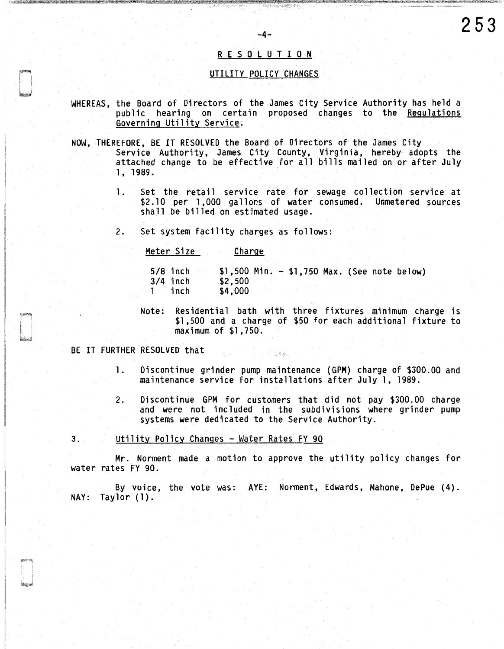# R E S 0 L U T I 0 N

 $-4-$ 

在观点的话语中的语言

# UTILITY POLICY CHANGES

# WHEREAS, the Board of Directors of the James City Service Authority has held a public hearing on certain proposed changes to the Regulations Governing Utility Service.

NOW, THEREFORE, BE IT RESOLVED the Board of Directors of the James City Service Authority, James City County, Virginia, hereby adopts the attached change to be effective for all bills mailed on or after July 1, 1989.

- 1. Set the retail service rate for sewage collection service at \$2.10 per 1,000 gallons of water consumed. Unmetered sources shall be billed on estimated usage.
- 2. Set system facility charges as follows:

Meter Size Charge

5/8 inch  $3/4$  inch<br>1 inch 1 inch \$1,500 Min. - \$1,750 Max. (See note below) \$2,500 \$4,000

Note: Residential bath with three fixtures minimum charge is \$1,500 and a charge of \$50 for each additional fixture to maximum of \$1,750.

#### BE IT FURTHER RESOLVED that

l. Discontinue grinder pump maintenance (GPM) charge of \$300.00 and maintenance service for installations after July 1, 1989.

. 정 정류.

2. Discontinue GPM for customers that did not pay \$300.00 charge and were not included in the subdivisions where grinder pump systems were dedicated to the Service Authority.

#### 3. Utility Policy Changes - Water Rates FY 90

Mr. Norment made a motion to approve the utility policy changes for water rates FY 90.

By voice, the vote was: AYE: Norment, Edwards, Mahone, DePue (4). NAY: Taylor (1).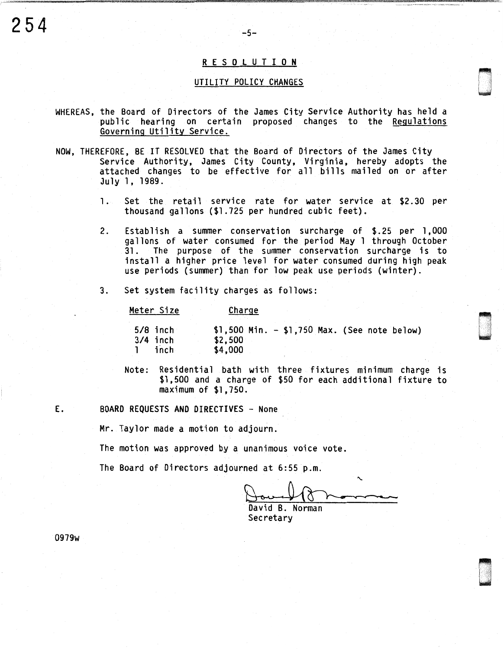# R E S 0 l U T I 0 N

# UTILITY POLICY CHANGES

- WHEREAS, the Board of Directors of the James City Service Authority has held a public hearing on certain proposed changes to the Regulations Governing Utility Service.
- NOW, THEREFORE, BE IT RESOLVED that the Board of Directors of the James City Service Authority, James City County, Virginia, hereby adopts the attached changes to be effective for all bills mailed on or after July 1, 1989.

Charge

- 1. Set the retail service rate for water service at \$2. 30 per thousand gallons (\$1.725 per hundred cubic feet).
- 2. Establish a summer conservation surcharge of \$.25 per 1,000 gallons of water consumed for the period May 1 through October 31. The purpose of the summer conservation surcharge is to install a higher price level for water consumed during high peak use periods (summer) than for low peak use periods (winter).
- 3. Set system facility charges as follows:

| 5/8 inch | $$1,500$ Min. $ $1,750$ Max. (See note below) |  |  |  |
|----------|-----------------------------------------------|--|--|--|
| 3/4 inch | \$2,500                                       |  |  |  |
| inch     | \$4,000                                       |  |  |  |

Note: Residential bath with three fixtures minimum charge is \$1,500 and a charge of \$50 for each additional fixture to maximum of \$1,750.

E. BOARD REQUESTS AND DIRECTIVES - None

Meter Size

Mr. Taylor made a motion to adjourn.

The motion was approved by a unanimous voice vote.

The Board of Directors adjourned at 6:55 p.m.

a " '

David B. Norman Secretary

0979w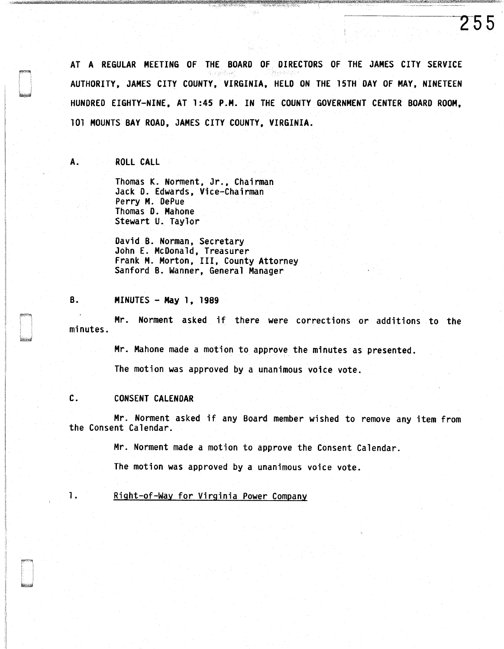AT A REGULAR MEETING OF THE BOARD OF DIRECTORS OF THE JAMES CITY SERVICE AUTHORITY, JAMES CITY COUNTY, VIRGINIA, HELO ON THE lSTH DAY OF MAY, NINETEEN HUNDRED EIGHTY-NINE, AT 1:45 P.M. IN THE COUNTY GOVERNMENT CENTER BOARD ROOM, 101 MOUNTS BAY ROAD, JAMES CITY COUNTY, VIRGINIA.

255

A. ROLL CALL

Thomas K. Norment, Jr., Chairman Jack O. Edwards, Vice-Chairman Perry M. OePue Thomas O. Mahone Stewart U. Taylor

David B. Norman, Secretary John E. McDonald, Treasurer Frank M. Morton, III, County Attorney Sanford B. Wanner, General Manager

#### B. MINUTES - May 1, 1989

minutes. Mr. Norment asked if there were corrections or additions to the

Mr. Mahone made a motion to approve the minutes as presented.

The motion was approved by a unanimous voice vote.

# C. CONSENT CALENDAR

Mr. Norment asked if any Board member wished to remove any item from the Consent Calendar.

Mr. Norment made a motion to approve the Consent Calendar.

The motion was approved by a unanimous voice vote.

1. Right-of-Way for Virginia Power Company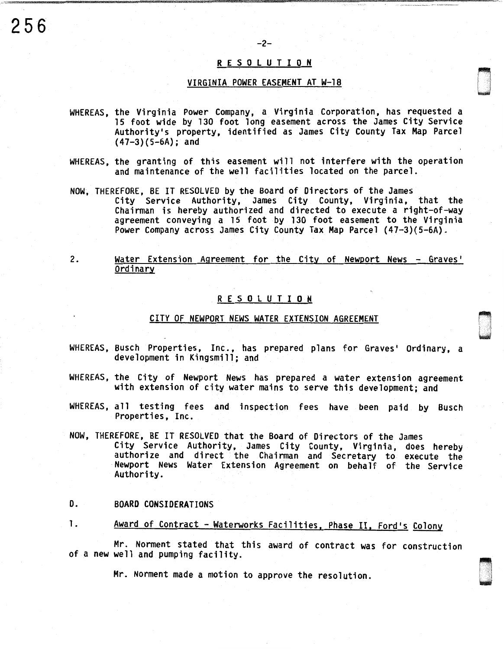# R E S 0 L U T I 0 N

 $-2-$ 

#### VIRGINIA POWER EASEMENT AT W-18

- WHEREAS, the Virginia Power Company, a Virginia Corporation, has requested a 15 foot wide by 130 foot long easement across the James City Service Authority's property, identified as James City County Tax Map Parcel  $(47-3)(5-6A)$ ; and
- WHEREAS, the granting of this easement will not interfere with the operation and maintenance of the well facilities located on the parcel.
- NOW, THEREFORE, BE IT RESOLVED by the Board of Directors of the James City Service Authority, James City County, Virginia, that the Chairman is hereby authorized and directed to execute a right-of-way agreement conveying a 15 foot by 130 foot easement to the Virginia Power Company across James City County Tax Map Parcel (47-3)(5-6A).
- 2. Water Extension Agreement for the City of Newport News Graves' Ordinary

# R E S 0 L U T I 0 N

#### CITY OF NEWPORT NEWS WATER EXTENSION AGREEMENT

0 <

- WHEREAS, Busch Properties, Inc., has prepared plans for Graves' Ordinary, a development in Kingsmill; and
- WHEREAS, the City of Newport News has prepared a water extension agreement with extension of city water mains to serve this development; and
- WHEREAS, all testing fees and inspection fees have been paid by Busch Properties, Inc.
- NOW, THEREFORE, BE IT RESOLVED that the Board of Directors of the James City Service Authority, James City County, Virginia, does hereby authorize and direct the Chairman and Secretary to execute the Newport News Water Extension Agreement on behalf of the Service Authority.
- D. BOARD CONSIDERATIONS
- 1. Award of Contract Waterworks Facilities, Phase II, Ford's Colony

Mr. Norment stated that this award of contract was for construction of a new well and pumping facility.

Mr. Norment made a motion to approve the resolution.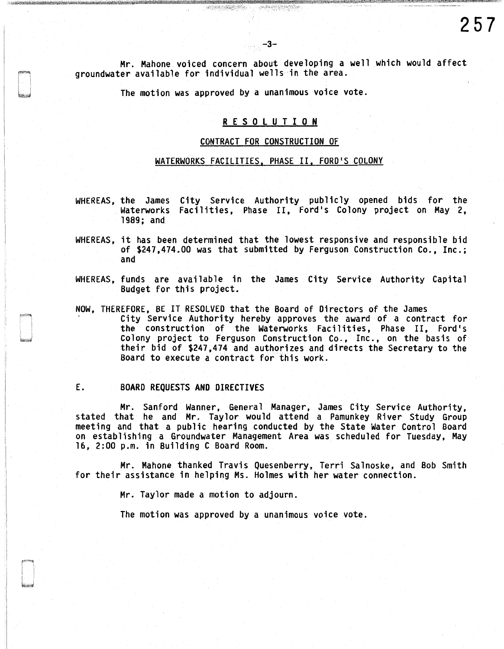Mr. Mahone voiced concern about developing a well which would affect groundwater available for individual wells in the area.

-3-

The motion was approved by a unanimous voice vote.

**2000年的高级学生** 

#### R E S 0 l U T I 0 N

#### CONTRACT FOR CONSTRUCTION OF

#### WATERWORKS FACILITIES, PHASE II, FORD'S COLONY

- WHEREAS, the James City Service Authority publicly opened bids for the Waterworks Facilities, Phase II, Ford's Colony project on May 2, 1989; and
- WHEREAS, it has been determined that the lowest responsive and responsible bid of \$247,474.00 was that submitted by Ferguson Construction Co., Inc.; and
- WHEREAS, funds are available in the James City Service Authority Capital Budget for this project.
- NOW, THEREFORE, BE IT RESOLVED that the Board of Directors of the James City Service Authority hereby approves the award of a contract for the construction of the Waterworks Facilities, Phase II, Ford's Colony project to Ferguson Construction Co., Inc., on the basis of their bid of \$247,474 and authorizes and directs the Secretary to the Board to execute a contract for this work.

#### E. BOARD REQUESTS AND DIRECTIVES

Mr. Sanford Wanner, General Manager, James City Service Authority, stated that he and Mr. Taylor would attend a Pamunkey River Study Group meeting and that a public hearing conducted by the State Water Control Board on establishing a Groundwater Management Area was scheduled for Tuesday, May 16, 2:00 p.m. in Building C Board Room.

Mr. Mahone thanked Travis Quesenberry, Terri Salnoske, and Bob Smith for their assistance in helping Ms. Holmes with her water connection.

Mr. Taylor made a motion to adjourn.

The motion was approved by a unanimous voice vote.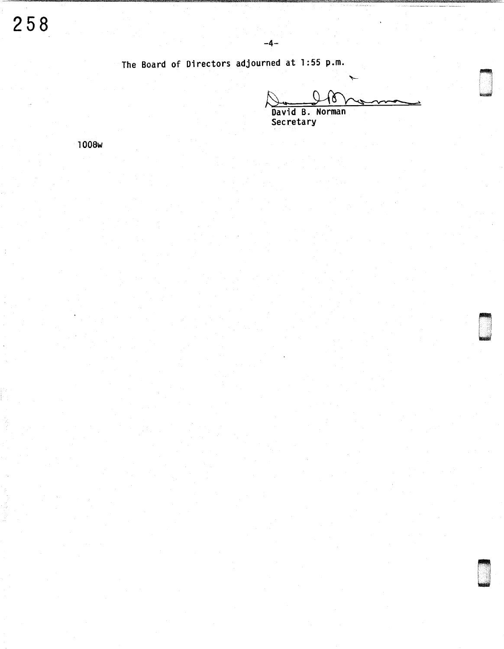The Board of Directors adjourned at 1:55 p.m.

-4-

*t*<br>
and at 1:55 p.m.<br>
<br>
<u>David B. Norman</u><br>
Secretary

 $\blacksquare$ I I w

David B. Norman<br>Secretary

lOOBw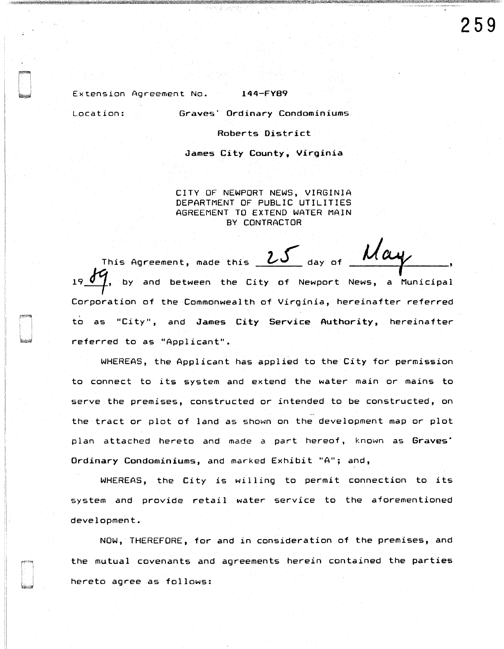Extension Agreement No. 144-FY89

Location: Graves' Ordinary Condominiums

Roberts District

James City County, Virginia

CITY OF NEWPORT NEWS, VIRGINIA DEPARTMENT OF PUBLIC UTILITIES AGREEMENT TO EXTEND WATER MAIN BY CONTRACTOR

May This Agreement, made this  $\overline{\mathcal{L} \mathcal{S}}$  day of This Agreement, made this 20 day of Municipal,<br>194, by and between the City of Newport News, a Municipal Corporation of the Commonwealth of Virginia, hereinafter referred to as "City", and James City Service Authority, hereinafter referred to as "Applicant".

WHEREAS, the Applicant has applied to the City for permission to connect to its system and extend the water main or mains to serve the premises, constructed or intended to be constructed, on the tract or plot of land as shown on the development map or plot plan attached hereto and made a part hereof, known as Graves' Ordinary Condominiums, and marked Exhibit "A"; and,

WHEREAS, the City is willing to permit connection to its system and provide retail water service to the aforementioned development.

NOW, THEREFORE, for and in consideration of the premises, and the mutual covenants and agreements herein contained the parties hereto agree as follows: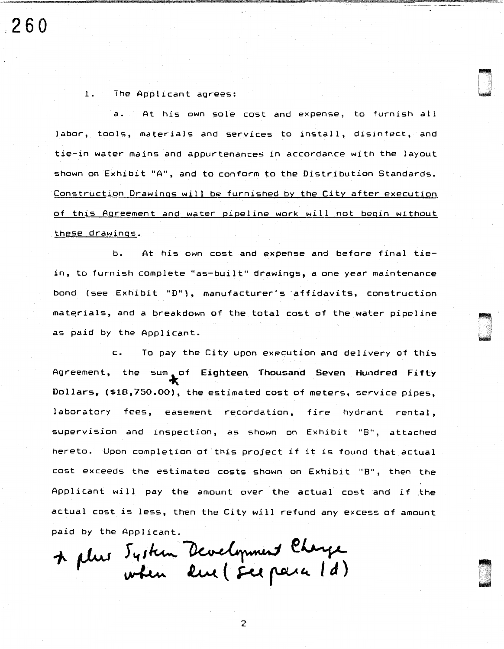#### 1. The Applicant agrees:

a. At his own sole cost and expense, to furnish all labor, tools, materials and services to install, disinfect, and tie-in water mains and appurtenances in accordance with the layout shown on Exhibit "A", and to conform to the Distribution Standards. Construction Drawings will be furnished by the City after execution of this Agreement and water pipeline work will not begin without these drawings.

b. At his own cost and expense and before final tiein, to furnish complete "as-built" drawings, a one year maintenance bond (see Exhibit "0"), manufacturer's affidavits, construction materials, and a breakdown of the total cost of the water pipeline as paid by the Applicant.

~ I **.**<br>I beginn

c. To pay the City upon execution and delivery of this  $A$ greement, the sum $\bigstar$ of Eighteen Thousand Seven Hundred Fifty Dollars, (\$18,750.00), the estimated cost of meters, service pipes, laboratory fees, easement recordation, fire hydrant rental, supervision and inspection, as shown on Exhibit "B", attached hereto. Upon completion of.this project if it is found that actual cost exceeds the estimated costs shown on Exhibit "B", then the Applicant will pay the amount over the actual cost and if the actual cost is less, then the City will refund any excess of amount paid by the Applicant.

A plus System Development Charge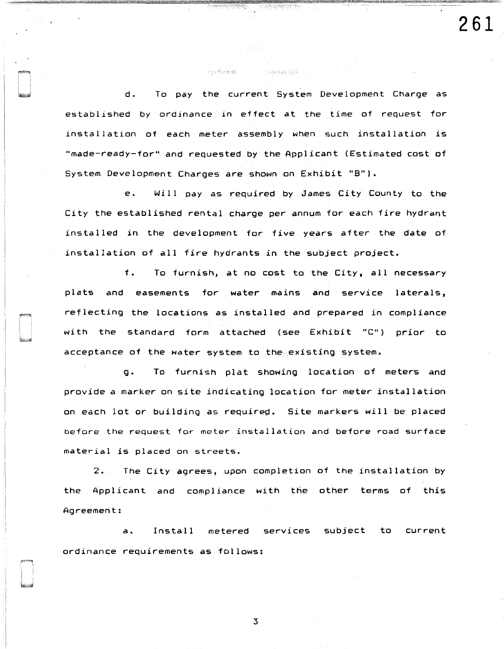d. To pay the current System Development Charge as established by ordinance *in* effect at the time of request for installation of each meter assembly when such installation is "made-ready-for" and requested by the Applicant (Estimated cost of System Development Charges are shown on Exhibit "B").

e. Wi 11 pay as required by James City County to the City the established rental charge per annum for each fire hydrant installed in the development for five years after the date of installation of all fire hydrants in the subject project.

f. To furnish, at no cost to the City, all necessary plats and easements for water mains and service laterals, reflecting the locations as installed and prepared in compliance with the standard form attached (see Exhibit "C") prior to acceptance of the water system to the existing system.

g. To furnish plat showing location of meters and provide a marker on site indicating location for meter installation on each lot or building as requireg. Site markers will be placed before the request for meter installation and before road surface material is placed on streets.

2. The City agrees, upon completion of the installation by the Applicant and compliance with the other terms of this Agreement:

*a.* Install metered services subject to current ordinance requirements as follows: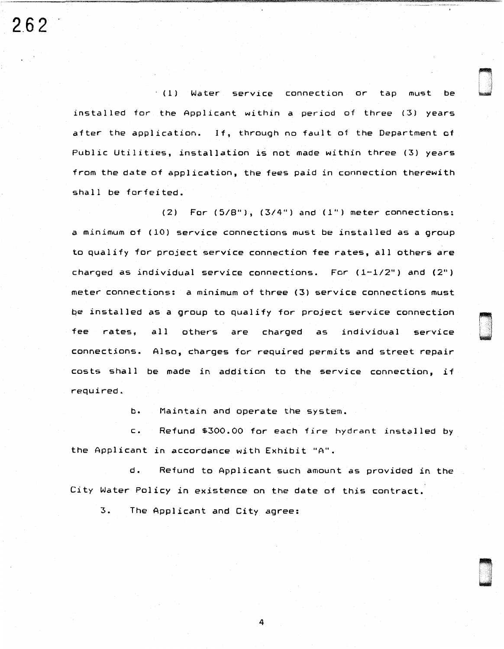2.6 2

 $\sim$  (1) Water service connection or tap must be installed for the Applicant within a period of three (3) years after the application. If, through no fault of the Department of Public Utilities, installation is not made within three (3) years from the date of application, the fees paid in connection therewith shall be forfeited.

~

~ und<br>Union

 $\lceil \cdot \rceil$ I ~ :

 $(2)$  For  $(5/8")$ ,  $(3/4")$  and  $(1")$  meter connections: a minimum of (10) service connections must be installed as a group to qualify for project service connection fee rates, all others are charged as individual service connections. For (1-1/2") and (2") meter connections: a minimum of three (3) service connections must qe installed as a group to qualify for project service connection fee rates, all others are charged as individual service connections. Also, charges for required permits and street repair costs shall be made in addition to the service connection, if required.

b. Maintain and operate the system.

c. Refund \$300.00 for each fire hydrant installed by the Applicant in accordance with Exhibit "A".

d. Refund to Applicant such amount as provided in the City Water Policy in existence on the date of this contract.

3. The Applicant and City agree: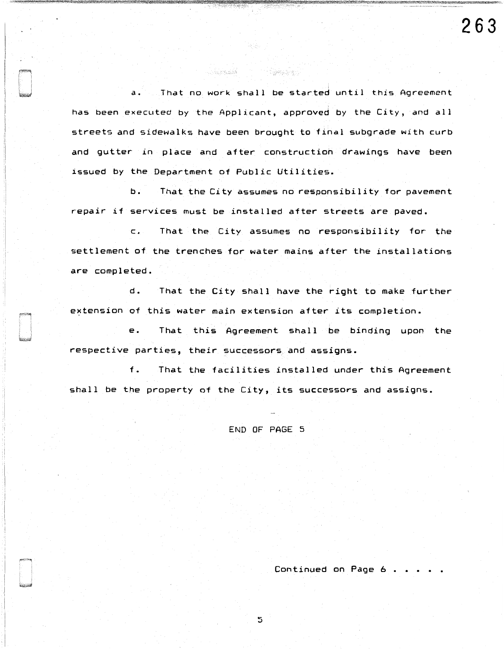a. That no work shall be started until this Agreement has been executed by the Applicant, approved by the City, and all streets and sidewalks have been brought to final subgrade with curb and gutter in place and after construction drawings have been issued by the Department of Public Utilities.

 $\label{eq:1} \mathcal{F} = \mathcal{F}_{\text{cyl}} \mathcal{F}_{\text{cyl}} \mathcal{F}_{\text{cyl}} \mathcal{F}_{\text{cyl}} \mathcal{F}_{\text{cyl}} \mathcal{F}_{\text{cyl}}$ 

a Alban Salah

b. That the City assumes no responsibility for pavement repair if services must be installed after streets are paved.

c. That the City assumes no responsibility for the settlement of the trenches for water mains after the installations are completed.

d. That the City shall have the right to make further extension of this water main extension after its completion.

e. That this Agreement shall be binding upon the respective parties, their successors and assigns.

f. That the facilities installed under this Agreement shall be the property of the City, its successors and assigns.

END OF PAGE 5

Continued on Page 6 . . . .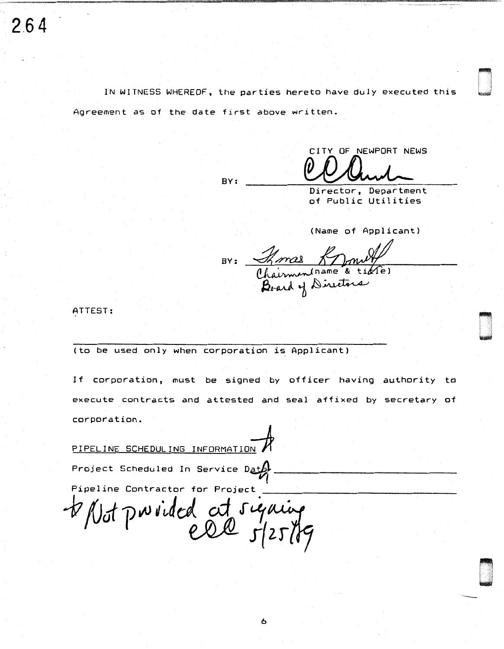2.6 4

IN WITNESS WHEREOF, the parties hereto have duly executed this Agreement as of the date first above written.

BY: CITY OF NEWPORT NEWS Director, Department

of Public Utilities

(Name of Applicant)

erenno<br>Bernard<br>Verenno

Kmae Konas K) mill<br>hairment name & tierre)<br>Board of Directors BY:

ATTEST:

(to be used only when corporation is Applicant)

If corporation, must be signed by officer having authority to execute contracts and attested and seal affixed by secretary of corporation.

PIPELINE SCHEDULING INFORMATION

Project Scheduled In Service Date

Pipeline Contractor for Project

Not pwoided at signing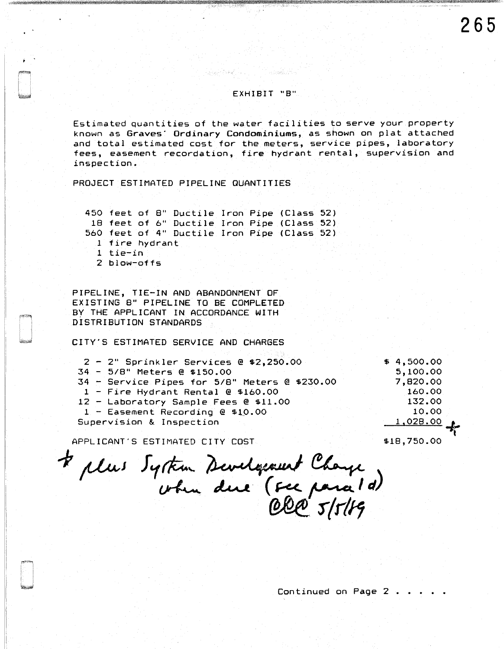#### EXHIBIT "8"

Estimated quantities of the water facilities to serve your property known as Graves· Ordinary Condominiums, as shown on plat attached and total estimated cost for the meters, service pipes, laboratory fees, easement recordation, fire hydrant rental, supervision and inspection.

PROJECT ESTIMATED PIPELINE QUANTITIES

450 feet of 8" Ductile Iron Pipe (Class 52) 18 feet of 6" Ductile Iron Pipe (Class 52) 560 feet of 4" Ductile Iron Pipe (Class 52) 1 fire hydrant 1 tie-in 2 blow-offs

PIPELINE, TIE-IN AND ABANDONMENT OF EXISTING 8" PIPELINE TO BE COMPLETED *BY* THE APPLICANT IN ACCORDANCE WITH DISTRIBUTION STANDARDS

CITY'S ESTIMATED SERVICE AND CHARGES

| $2 - 2$ " Sprinkler Services @ \$2,250.00          | \$4,500.00 |
|----------------------------------------------------|------------|
| 34 - 5/8" Meters @ \$150.00                        | 5,100.00   |
| $34$ - Service Pipes for $5/8$ " Meters @ \$230.00 | 7,820.00   |
| $1 -$ Fire Hydrant Rental @ \$160.00               | 160.00     |
| 12 - Laboratory Sample Fees @ \$11.00              | 132.00     |
| $1 -$ Easement Recording @ \$10.00                 | 10.00      |
| Supervision & Inspection                           | 1,028.00   |
|                                                    |            |

APPLICANT'S ESTIMATED CITY COST

 $$18,750.00$ 

\* plus System Developement Change El para 11